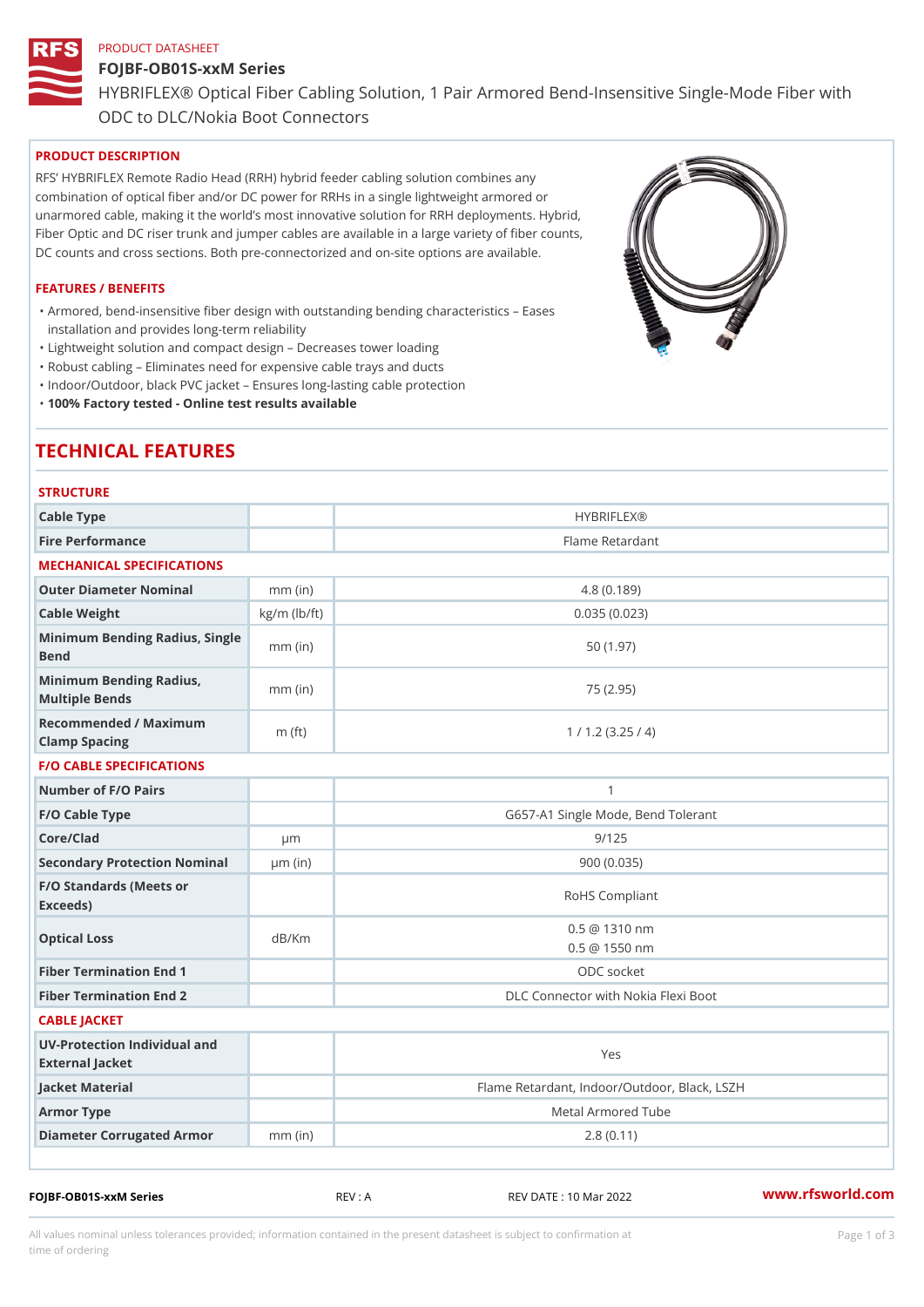### PRODUCT DATASHEET

# FOJBF-OB01S-xxM Series HYBRIFLEX® Optical Fiber Cabling Solution, 1 Pair Armored Bend-Inse ODC to DLC/Nokia Boot Connectors

# PRODUCT DESCRIPTION

RFS HYBRIFLEX Remote Radio Head (RRH) hybrid feeder cabling solution combines any combination of optical fiber and/or DC power for RRHs in a single lightweight armored or unarmored cable, making it the world s most innovative solution for RRH deployments. Hybrid, Fiber Optic and DC riser trunk and jumper cables are available in a large variety of fiber counts, DC counts and cross sections. Both pre-connectorized and on-site options are available.

#### FEATURES / BENEFITS

Armored, bend-insensitive fiber design with outstanding bending characteristics Eases " installation and provides long-term reliability

"Lightweight solution and compact design Decreases tower loading

"Robust cabling Eliminates need for expensive cable trays and ducts

"Indoor/Outdoor, black PVC jacket Ensures long-lasting cable protection

"100% Factory tested - Online test results available

# TECHNICAL FEATURES

| <b>STRUCTURE</b>                                     |                    |                                              |
|------------------------------------------------------|--------------------|----------------------------------------------|
| Cable Type                                           |                    | HYBRIFLEX <sub>®</sub>                       |
| Fire Performance                                     |                    | Flame Retardant                              |
| MECHANICAL SPECIFICATIONS                            |                    |                                              |
| Outer Diameter Nominal                               | $mm$ (in)          | 4.8(0.189)                                   |
| Cable Weight                                         | $kg/m$ ( $lb/ft$ ) | 0.035(0.023)                                 |
| Minimum Bending Radius, Single<br>The mm (in<br>Bend |                    | 50(1.97)                                     |
| Minimum Bending Radius, mm (in)<br>Multiple Bends    |                    | 75 (2.95)                                    |
| Recommended / Maximum<br>Clamp Spacing               | $m$ (ft)           | 1 / 1.2 (3.25 / 4)                           |
| <b>F/O CABLE SPECIFICATIONS</b>                      |                    |                                              |
| Number of F/O Pairs                                  |                    | $\mathbf{1}$                                 |
| F/O Cable Type                                       |                    | G657-A1 Single Mode, Bend Tolerant           |
| Core/Clad                                            | $\mu$ m            | 9/125                                        |
| Secondary Protection Nomimal(in)                     |                    | 900 (0.035)                                  |
| F/O Standards (Meets or<br>Exceeds)                  |                    | RoHS Compliant                               |
| Optical Loss                                         | dB/Km              | $0.5 \ @ \ 1310 \ nm$<br>$0.5 \t@ 1550 nm$   |
| Fiber Termination End                                |                    | ODC socket                                   |
| Fiber Termination End 2                              |                    | DLC Connector with Nokia Flexi Boot          |
| CABLE JACKET                                         |                    |                                              |
| UV-Protection Individual and<br>External Jacket      |                    | Yes                                          |
| Jacket Material                                      |                    | Flame Retardant, Indoor/Outdoor, Black, LSZH |
| Armor Type                                           |                    | Metal Armored Tube                           |
| Diameter Corrugated Armomm (in)                      |                    | 2.8(0.11)                                    |
|                                                      |                    |                                              |

FOJBF-OB01S-xxM Series REV : A REV DATE : 10 Mar 2022 [www.](https://www.rfsworld.com)rfsworld.com

All values nominal unless tolerances provided; information contained in the present datasheet is subject to Pcapgeign mation time of ordering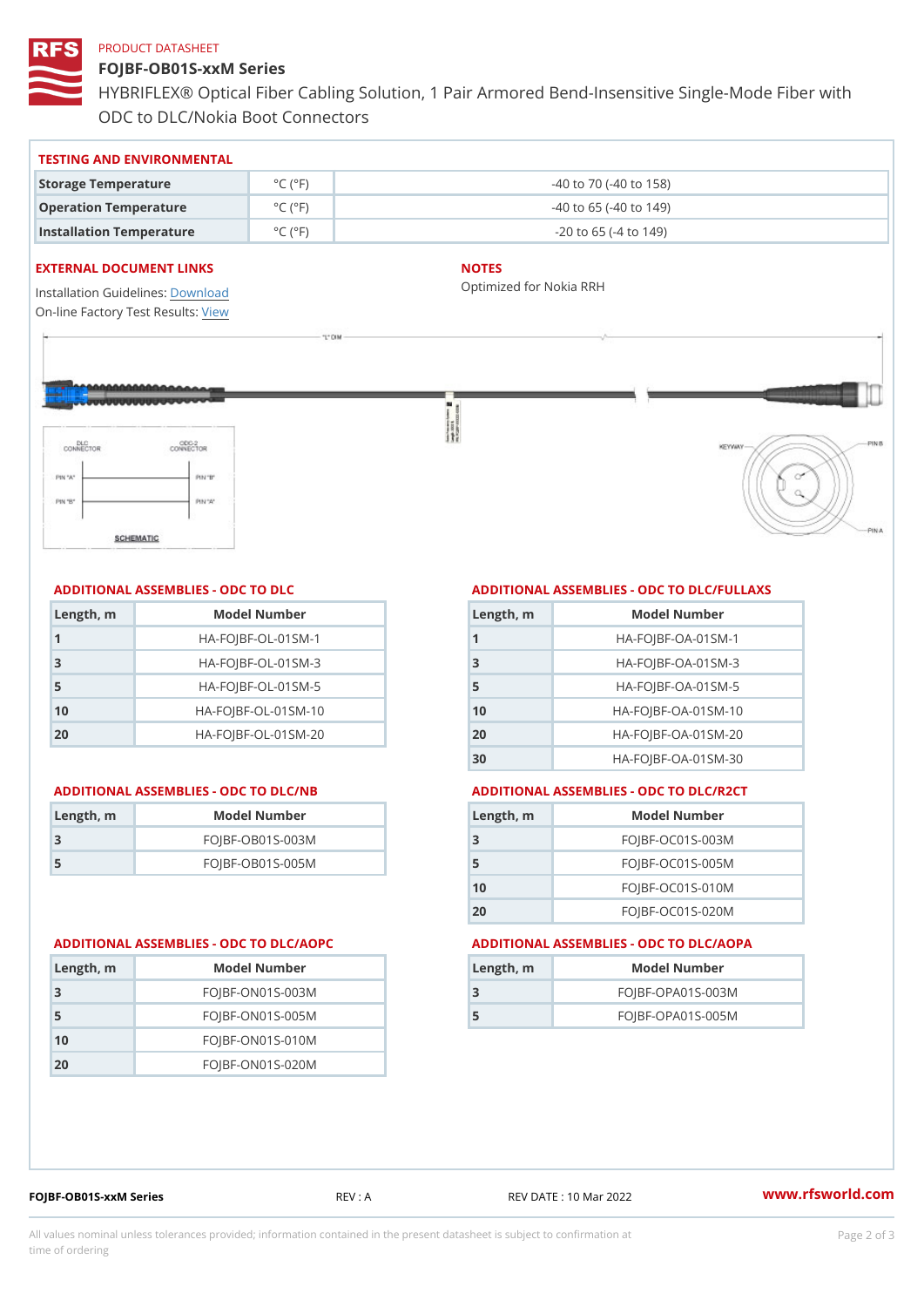#### PRODUCT DATASHEET

FOJBF-OB01S-xxM Series HYBRIFLEX® Optical Fiber Cabling Solution, 1 Pair Armored Bend-Inse ODC to DLC/Nokia Boot Connectors

### TESTING AND ENVIRONMENTAL

| Storage Temperature              | $^{\circ}$ C ( $^{\circ}$ F)        | $-40$ to $70$ ( $-40$ to $158$ ) |
|----------------------------------|-------------------------------------|----------------------------------|
| Operation Temperature            | $^{\circ}$ C ( $^{\circ}$ F $\vert$ | $-40$ to 65 ( $-40$ to 149)      |
| Installation Temperature °C (°F) |                                     | $-20$ to 65 ( $-4$ to 149)       |

#### EXTERNAL DOCUMENT LINKS

Installation Guidelwinessad On-line Factory Te[s](https://www.rfsworld.com/pictures/userfiles/programs/AAST Latest Version.zip)teResults:

# NOTES

Optimized for Nokia RRH

# ADDITIONAL ASSEMBLIES - ODC TO DLC

| Length, m | Model Number                   |
|-----------|--------------------------------|
| 1         | $HA - FOJBF - OL - 01SM - 1$   |
| -3        | $HA - FOJBF - OL - 01SM - 3$   |
| 5         | $HA - FOJBF - OL - 01SM - 5$   |
| 10        | $HA - FOJBF - O L - 01SM - 10$ |
| 20        | $HA - FOJBF - O L - 01SM - 20$ |

| Length, m | Model Number       |
|-----------|--------------------|
| -3        | $FOJBF-OBO1S-OO3M$ |
| -5        | $FOJBF-OBO1S-OO5M$ |

### ADDITIONAL ASSEMBLIES - ODC TO DLC/FULLAXS

| Length, m      | Model Number                 |
|----------------|------------------------------|
|                | $HA - FOJBF - OA - 01SM - 1$ |
| 3              | $HA - FOJBF - OA - 01SM - B$ |
| 5              | $HA - FOJBF - OA - 01SM - 5$ |
| 1 <sub>0</sub> | $HA-FOJBF-OA-01SM-10$        |
| 20             | $HA-FOJBF-OA-01SM-20$        |
| 30             | HA-FOJBF-OA-01SM-30          |

#### ADDITIONAL ASSEMBLIES - ODC TO DLC/NB ADDITIONAL ASSEMBLIES - ODC TO DLC/R2CT

| $L$ ength, $rn$ | Model Number       |
|-----------------|--------------------|
| -3              | $FOJBF-OCO1S-OO3M$ |
| 5               | $FOJBF-OCO1S-OO5M$ |
| 10              | $FOJBF-OCO1S-010M$ |
| 2 O             | $FOJBF-OCO1S-020M$ |

#### ADDITIONAL ASSEMBLIES - ODC TO DLC/AOPC ADDITIONAL ASSEMBLIES - ODC TO DLC/AOPA

| Length, m | Model Number        |
|-----------|---------------------|
| 3         | $FOJBF-OPAO1S-003M$ |
| 5         | $FOJBF-OPAO1S-005M$ |

| Length, m | Model Number       |
|-----------|--------------------|
| -3        | $FOJBF-ONO1S-OO3M$ |
| -5        | $FOJBF-ONO1S-005M$ |
| 10        | $FOJBF-ONO1S-010M$ |
| 2 Q       | $FOJBF-ONO1S-020M$ |

FOJBF-OB01S-xxM Series REV : A REV DATE : 10 Mar 2022 [www.](https://www.rfsworld.com)rfsworld.com

All values nominal unless tolerances provided; information contained in the present datasheet is subject to Pcapgelio an atio time of ordering